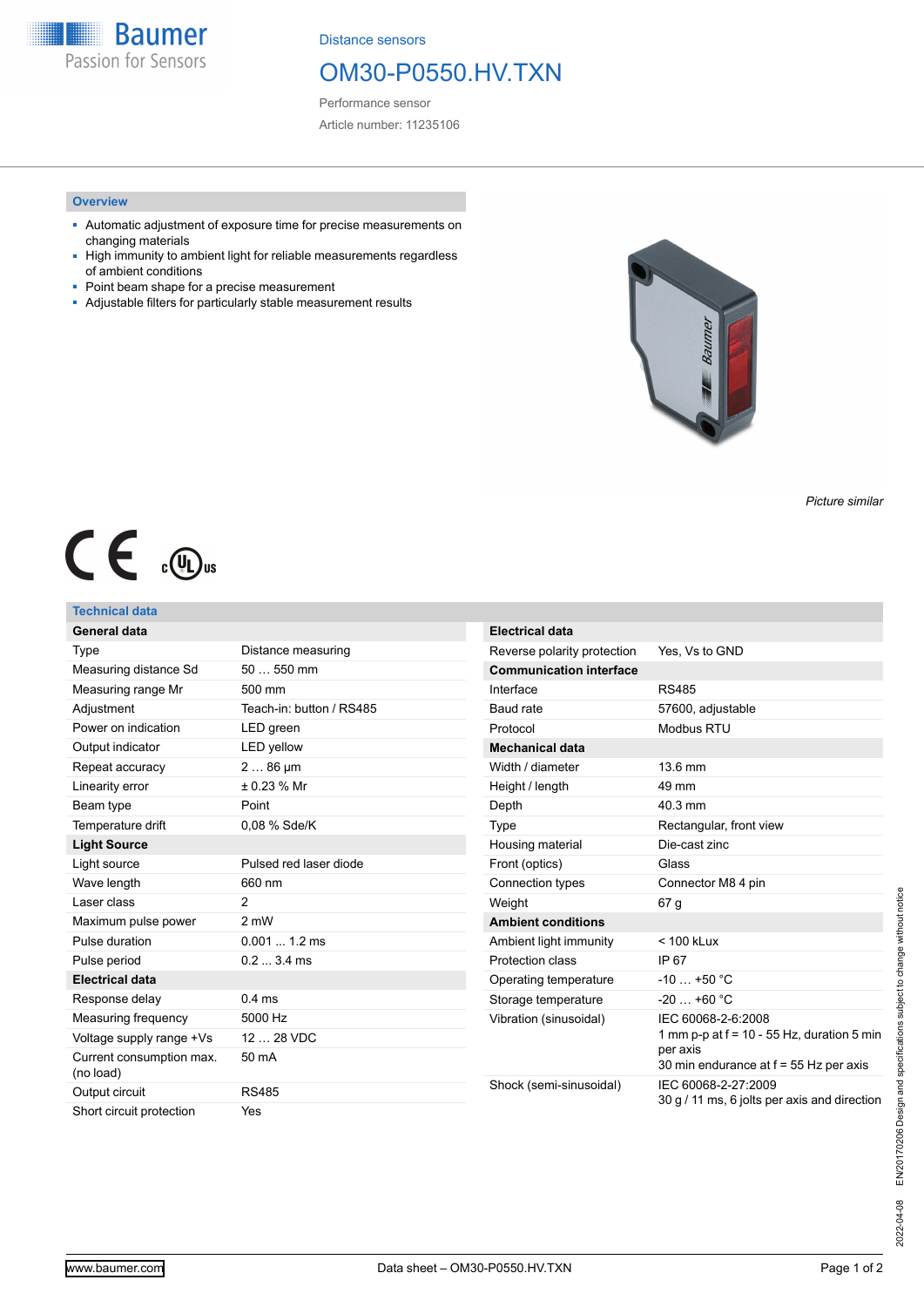**Baumer** Passion for Sensors

Distance sensors

# OM30-P0550.HV.TXN

Performance sensor Article number: 11235106

## **Overview**

- Automatic adjustment of exposure time for precise measurements on changing materials
- High immunity to ambient light for reliable measurements regardless of ambient conditions
- Point beam shape for a precise measurement
- Adjustable filters for particularly stable measurement results



*Picture similar*

# $C \in \mathcal{L}$

## **Technical data**

| General data                          |                          | <b>Electrical data</b>         |                                                                                                                          |
|---------------------------------------|--------------------------|--------------------------------|--------------------------------------------------------------------------------------------------------------------------|
| Type                                  | Distance measuring       | Reverse polarity protection    | Yes, Vs to GND                                                                                                           |
| Measuring distance Sd                 | $50550$ mm               | <b>Communication interface</b> |                                                                                                                          |
| Measuring range Mr                    | 500 mm                   | Interface                      | <b>RS485</b>                                                                                                             |
| Adjustment                            | Teach-in: button / RS485 | Baud rate                      | 57600, adjustable                                                                                                        |
| Power on indication                   | LED green                | Protocol                       | Modbus RTU                                                                                                               |
| Output indicator                      | <b>LED</b> yellow        | <b>Mechanical data</b>         |                                                                                                                          |
| Repeat accuracy                       | $286 \,\mu m$            | Width / diameter               | 13.6 mm                                                                                                                  |
| Linearity error                       | ± 0.23 % Mr              | Height / length                | 49 mm                                                                                                                    |
| Beam type                             | Point                    | Depth                          | 40.3 mm                                                                                                                  |
| Temperature drift                     | 0,08 % Sde/K             | Type                           | Rectangular, front view                                                                                                  |
| <b>Light Source</b>                   |                          | Housing material               | Die-cast zinc                                                                                                            |
| Light source                          | Pulsed red laser diode   | Front (optics)                 | Glass                                                                                                                    |
| Wave length                           | 660 nm                   | Connection types               | Connector M8 4 pin                                                                                                       |
| Laser class                           | $\overline{2}$           | Weight                         | 67 <sub>g</sub>                                                                                                          |
| Maximum pulse power                   | 2 mW                     | <b>Ambient conditions</b>      |                                                                                                                          |
| Pulse duration                        | $0.0011.2 \text{ ms}$    | Ambient light immunity         | $< 100$ kLux                                                                                                             |
| Pulse period                          | $0.23.4 \text{ ms}$      | Protection class               | IP 67                                                                                                                    |
| <b>Electrical data</b>                |                          | Operating temperature          | $-10+50 °C$                                                                                                              |
| Response delay                        | $0.4$ ms                 | Storage temperature            | $-20+60 °C$                                                                                                              |
| Measuring frequency                   | 5000 Hz                  | Vibration (sinusoidal)         | IEC 60068-2-6:2008<br>1 mm p-p at $f = 10 - 55$ Hz, duration 5 min<br>per axis<br>30 min endurance at f = 55 Hz per axis |
| Voltage supply range +Vs              | 12  28 VDC               |                                |                                                                                                                          |
| Current consumption max.<br>(no load) | 50 mA                    |                                |                                                                                                                          |
| Output circuit                        | <b>RS485</b>             | Shock (semi-sinusoidal)        | IEC 60068-2-27:2009<br>30 g / 11 ms, 6 jolts per axis and direction                                                      |
| Short circuit protection              | Yes                      |                                |                                                                                                                          |